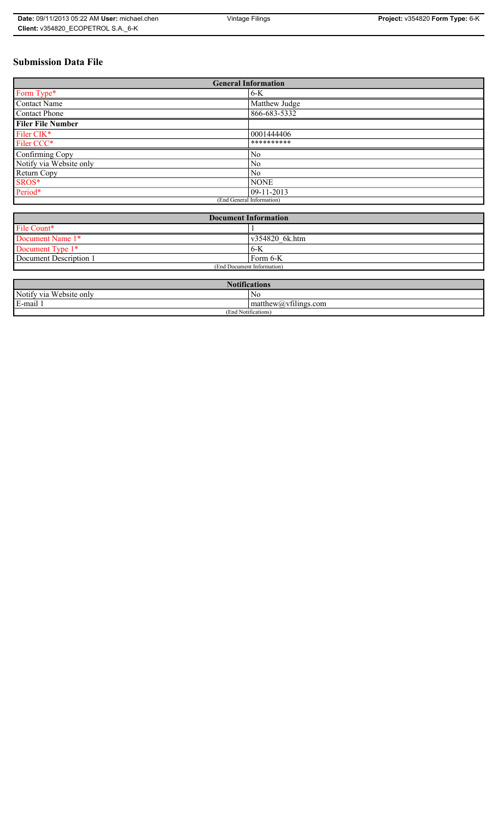## **Submission Data File**

| <b>General Information</b> |                |  |
|----------------------------|----------------|--|
| Form Type*                 | $6-K$          |  |
| <b>Contact Name</b>        | Matthew Judge  |  |
| <b>Contact Phone</b>       | 866-683-5332   |  |
| <b>Filer File Number</b>   |                |  |
| Filer CIK*                 | 0001444406     |  |
| Filer CCC*                 | **********     |  |
| Confirming Copy            | No             |  |
| Notify via Website only    | N <sub>0</sub> |  |
| Return Copy                | No             |  |
| SROS*                      | <b>NONE</b>    |  |
| Period*                    | 09-11-2013     |  |
| (End General Information)  |                |  |

| <b>Document Information</b> |                        |
|-----------------------------|------------------------|
| File Count*                 |                        |
| Document Name 1*            | $\sqrt{354820}$ 6k.htm |
| Document Type 1*            | $6 - K$                |
| Document Description 1      | 'Form 6-K              |
| (End Document Information)  |                        |

| $\mathbf{M}$<br>Notifications |                         |  |
|-------------------------------|-------------------------|--|
| Notify via Website only       | N0                      |  |
| E-mail                        | $\sim$ 1.<br>math>math> |  |
| (End Notifications)           |                         |  |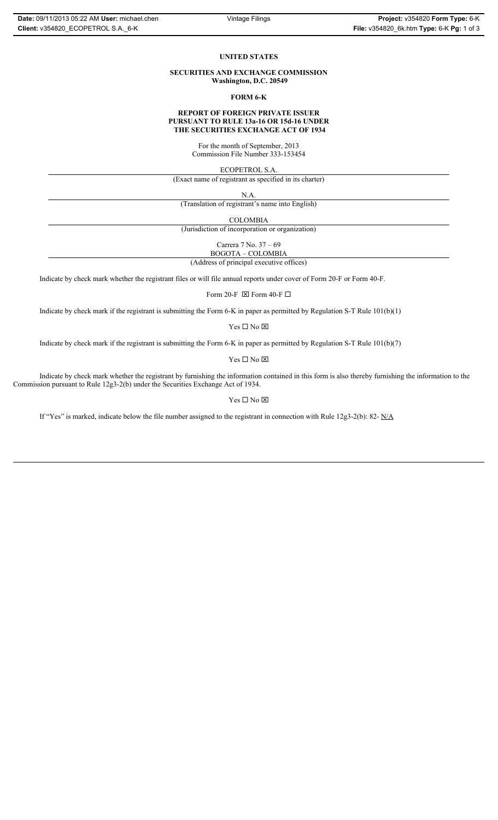## **UNITED STATES**

**SECURITIES AND EXCHANGE COMMISSION Washington, D.C. 20549**

**FORM 6-K**

## **REPORT OF FOREIGN PRIVATE ISSUER PURSUANT TO RULE 13a-16 OR 15d-16 UNDER THE SECURITIES EXCHANGE ACT OF 1934**

For the month of September, 2013 Commission File Number 333-153454

ECOPETROL S.A.

(Exact name of registrant as specified in its charter)

N.A.

(Translation of registrant's name into English)

COLOMBIA

(Jurisdiction of incorporation or organization)

Carrera 7 No. 37 – 69

(Address of principal executive offices) BOGOTA – COLOMBIA

Indicate by check mark whether the registrant files or will file annual reports under cover of Form 20-F or Form 40-F.

Form 20-F  $\boxtimes$  Form 40-F  $\Box$ 

Indicate by check mark if the registrant is submitting the Form 6-K in paper as permitted by Regulation S-T Rule 101(b)(1)

 $Yes \Box No \boxtimes$ 

Indicate by check mark if the registrant is submitting the Form 6-K in paper as permitted by Regulation S-T Rule 101(b)(7)

 $\mathbf{Y}\mathbf{es} \ \Box \ \mathbf{No} \ \boxtimes$ 

Indicate by check mark whether the registrant by furnishing the information contained in this form is also thereby furnishing the information to the Commission pursuant to Rule 12g3-2(b) under the Securities Exchange Act of 1934.

 $Yes \Box No \boxtimes$ 

If "Yes" is marked, indicate below the file number assigned to the registrant in connection with Rule 12g3-2(b): 82- N/A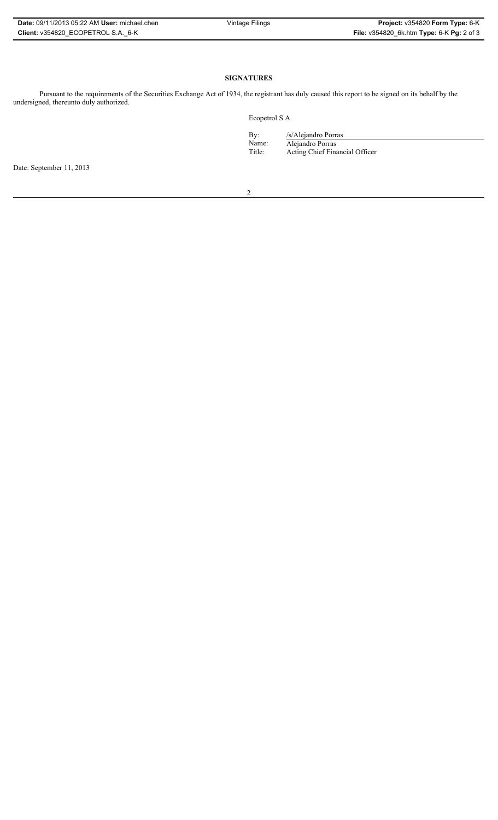| <b>Date: 09/11/2013 05:22 AM User: michael.chen</b> | Vintage Filings | Project: v354820 Form Type: 6-K           |
|-----------------------------------------------------|-----------------|-------------------------------------------|
| Client: v354820 ECOPETROL S.A. 6-K                  |                 | File: v354820_6k.htm Type: 6-K Pg: 2 of 3 |

## **SIGNATURES**

Pursuant to the requirements of the Securities Exchange Act of 1934, the registrant has duly caused this report to be signed on its behalf by the undersigned, thereunto duly authorized.

Ecopetrol S.A.

| By:    | /s/Alejandro Porras            |
|--------|--------------------------------|
| Name:  | Alejandro Porras               |
| Title: | Acting Chief Financial Officer |

Date: September 11, 2013